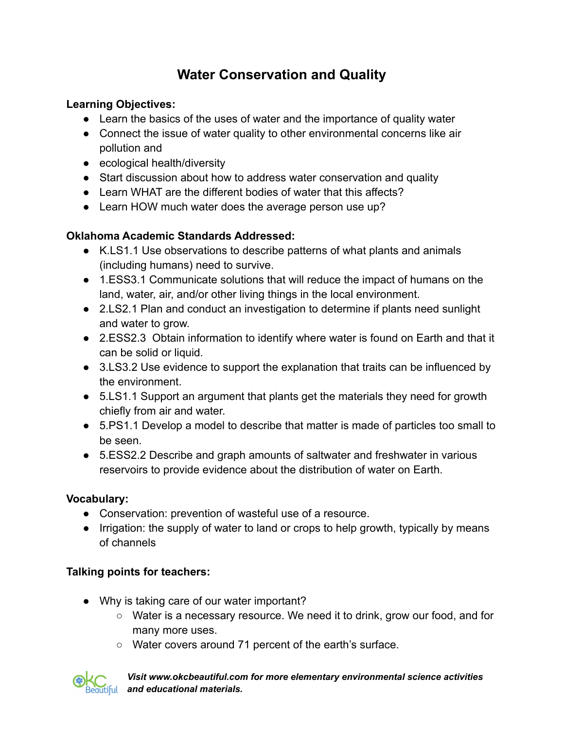# **Water Conservation and Quality**

#### **Learning Objectives:**

- Learn the basics of the uses of water and the importance of quality water
- Connect the issue of water quality to other environmental concerns like air pollution and
- ecological health/diversity
- Start discussion about how to address water conservation and quality
- Learn WHAT are the different bodies of water that this affects?
- Learn HOW much water does the average person use up?

## **Oklahoma Academic Standards Addressed:**

- K.LS1.1 Use observations to describe patterns of what plants and animals (including humans) need to survive.
- 1.ESS3.1 Communicate solutions that will reduce the impact of humans on the land, water, air, and/or other living things in the local environment.
- 2.LS2.1 Plan and conduct an investigation to determine if plants need sunlight and water to grow.
- 2.ESS2.3 Obtain information to identify where water is found on Earth and that it can be solid or liquid.
- 3.LS3.2 Use evidence to support the explanation that traits can be influenced by the environment.
- 5.LS1.1 Support an argument that plants get the materials they need for growth chiefly from air and water.
- 5.PS1.1 Develop a model to describe that matter is made of particles too small to be seen.
- 5.ESS2.2 Describe and graph amounts of saltwater and freshwater in various reservoirs to provide evidence about the distribution of water on Earth.

#### **Vocabulary:**

- Conservation: prevention of wasteful use of a resource.
- Irrigation: the supply of water to land or crops to help growth, typically by means of channels

# **Talking points for teachers:**

- Why is taking care of our water important?
	- Water is a necessary resource. We need it to drink, grow our food, and for many more uses.
	- Water covers around 71 percent of the earth's surface.



*Visit www.okcbeautiful.com for more elementary environmental science activities and educational materials.*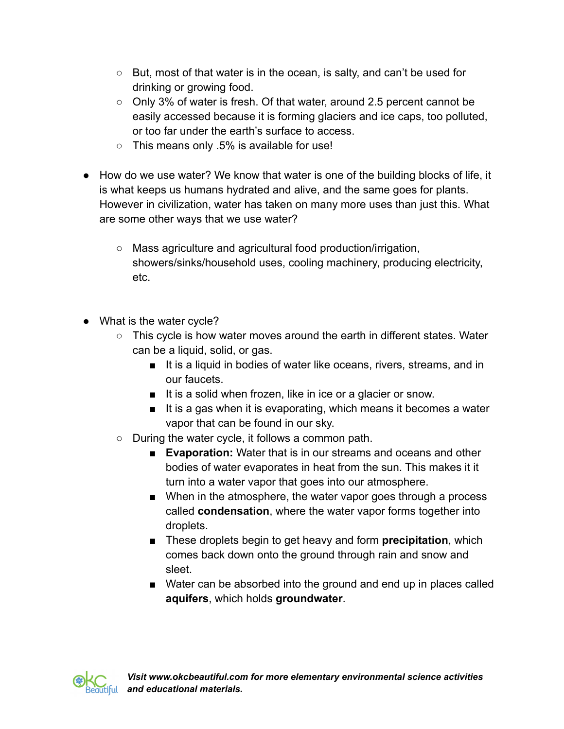- $\circ$  But, most of that water is in the ocean, is salty, and can't be used for drinking or growing food.
- Only 3% of water is fresh. Of that water, around 2.5 percent cannot be easily accessed because it is forming glaciers and ice caps, too polluted, or too far under the earth's surface to access.
- This means only .5% is available for use!
- How do we use water? We know that water is one of the building blocks of life, it is what keeps us humans hydrated and alive, and the same goes for plants. However in civilization, water has taken on many more uses than just this. What are some other ways that we use water?
	- Mass agriculture and agricultural food production/irrigation, showers/sinks/household uses, cooling machinery, producing electricity, etc.
- What is the water cycle?
	- This cycle is how water moves around the earth in different states. Water can be a liquid, solid, or gas.
		- It is a liquid in bodies of water like oceans, rivers, streams, and in our faucets.
		- It is a solid when frozen, like in ice or a glacier or snow.
		- It is a gas when it is evaporating, which means it becomes a water vapor that can be found in our sky.
	- During the water cycle, it follows a common path.
		- **Evaporation:** Water that is in our streams and oceans and other bodies of water evaporates in heat from the sun. This makes it it turn into a water vapor that goes into our atmosphere.
		- When in the atmosphere, the water vapor goes through a process called **condensation**, where the water vapor forms together into droplets.
		- These droplets begin to get heavy and form **precipitation**, which comes back down onto the ground through rain and snow and sleet.
		- Water can be absorbed into the ground and end up in places called **aquifers**, which holds **groundwater**.